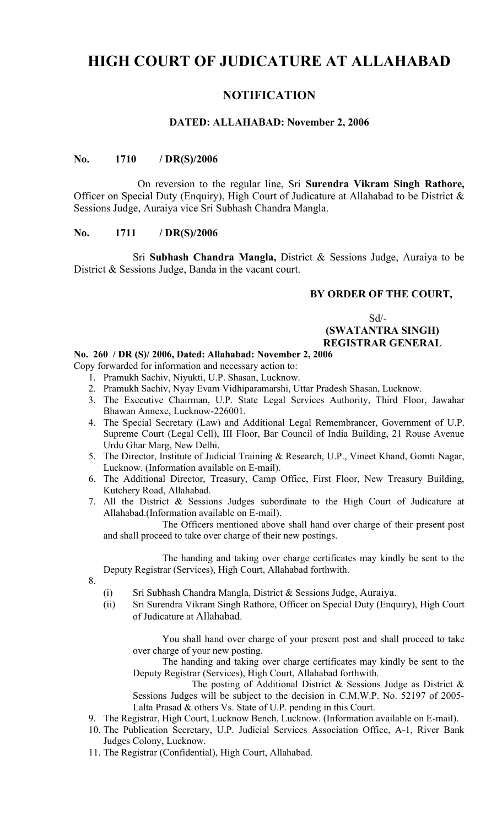# **HIGH COURT OF JUDICATURE AT ALLAHABAD**

# **NOTIFICATION**

#### **DATED: ALLAHABAD: November 2, 2006**

#### **No. 1710 / DR(S)/2006**

On reversion to the regular line, Sri **Surendra Vikram Singh Rathore,** Officer on Special Duty (Enquiry), High Court of Judicature at Allahabad to be District & Sessions Judge, Auraiya vice Sri Subhash Chandra Mangla.

### **No. 1711 / DR(S)/2006**

Sri **Subhash Chandra Mangla,** District & Sessions Judge, Auraiya to be District & Sessions Judge, Banda in the vacant court.

### **BY ORDER OF THE COURT,**

Sd/-  **(SWATANTRA SINGH) REGISTRAR GENERAL**

#### **No. 260 / DR (S)/ 2006, Dated: Allahabad: November 2, 2006**

Copy forwarded for information and necessary action to:

- 1. Pramukh Sachiv, Niyukti, U.P. Shasan, Lucknow.
- 2. Pramukh Sachiv, Nyay Evam Vidhiparamarshi, Uttar Pradesh Shasan, Lucknow.
- 3. The Executive Chairman, U.P. State Legal Services Authority, Third Floor, Jawahar Bhawan Annexe, Lucknow-226001.
- 4. The Special Secretary (Law) and Additional Legal Remembrancer, Government of U.P. Supreme Court (Legal Cell), III Floor, Bar Council of India Building, 21 Rouse Avenue Urdu Ghar Marg, New Delhi.
- 5. The Director, Institute of Judicial Training & Research, U.P., Vineet Khand, Gomti Nagar, Lucknow. (Information available on E-mail).
- 6. The Additional Director, Treasury, Camp Office, First Floor, New Treasury Building, Kutchery Road, Allahabad.
- 7. All the District & Sessions Judges subordinate to the High Court of Judicature at Allahabad.(Information available on E-mail).

The Officers mentioned above shall hand over charge of their present post and shall proceed to take over charge of their new postings.

The handing and taking over charge certificates may kindly be sent to the Deputy Registrar (Services), High Court, Allahabad forthwith.

- 8.
- (i) Sri Subhash Chandra Mangla, District & Sessions Judge, Auraiya.
- (ii) Sri Surendra Vikram Singh Rathore, Officer on Special Duty (Enquiry), High Court of Judicature at Allahabad.

You shall hand over charge of your present post and shall proceed to take over charge of your new posting.

The handing and taking over charge certificates may kindly be sent to the Deputy Registrar (Services), High Court, Allahabad forthwith.

The posting of Additional District & Sessions Judge as District & Sessions Judges will be subject to the decision in C.M.W.P. No. 52197 of 2005- Lalta Prasad & others Vs. State of U.P. pending in this Court.

9. The Registrar, High Court, Lucknow Bench, Lucknow. (Information available on E-mail).

- 10. The Publication Secretary, U.P. Judicial Services Association Office, A-1, River Bank Judges Colony, Lucknow.
- 11. The Registrar (Confidential), High Court, Allahabad.